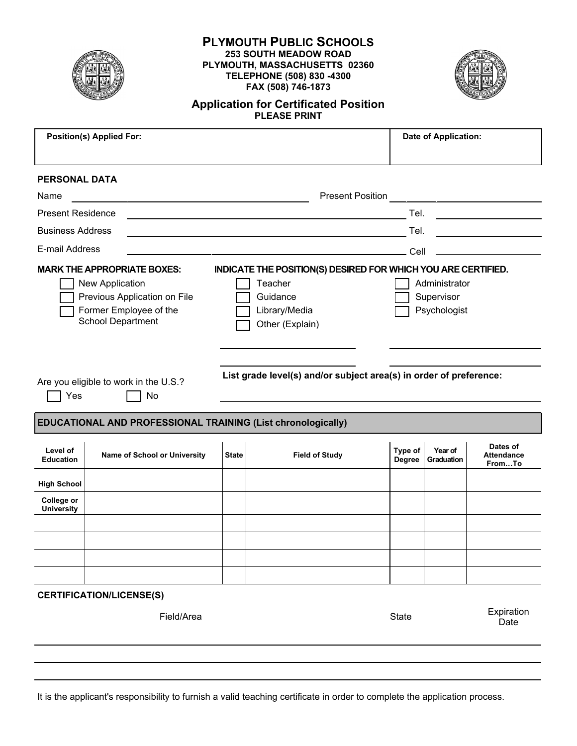

# **PLYMOUTH PUBLIC SCHOOLS 253 SOUTH MEADOW ROAD PLYMOUTH, MASSACHUSETTS 02360 TELEPHONE (508) 830 -4300 FAX (508) 746-1873**



# **Application for Certificated Position PLEASE PRINT**

| <b>Position(s) Applied For:</b>                                                                                                             |                                                                     |                                                                                                                                                                         |                                                                                                                                                                                                                                                                                                                                                               |                   | <b>Date of Application:</b> |                                         |  |  |  |
|---------------------------------------------------------------------------------------------------------------------------------------------|---------------------------------------------------------------------|-------------------------------------------------------------------------------------------------------------------------------------------------------------------------|---------------------------------------------------------------------------------------------------------------------------------------------------------------------------------------------------------------------------------------------------------------------------------------------------------------------------------------------------------------|-------------------|-----------------------------|-----------------------------------------|--|--|--|
| <b>PERSONAL DATA</b>                                                                                                                        |                                                                     |                                                                                                                                                                         |                                                                                                                                                                                                                                                                                                                                                               |                   |                             |                                         |  |  |  |
| Name                                                                                                                                        | <u> 1989 - Johann Stein, mars an deus Amerikaansk kommunister (</u> |                                                                                                                                                                         | <b>Present Position</b>                                                                                                                                                                                                                                                                                                                                       |                   |                             |                                         |  |  |  |
| <b>Present Residence</b>                                                                                                                    |                                                                     |                                                                                                                                                                         | Tel.<br><u> 1980 - Jan Stein Stein Stein Stein Stein Stein Stein Stein Stein Stein Stein Stein Stein Stein Stein Stein S</u><br>the control of the control of the control of the control of the control of the control of the control of the control of the control of the control of the control of the control of the control of the control of the control |                   |                             |                                         |  |  |  |
| <b>Business Address</b>                                                                                                                     |                                                                     |                                                                                                                                                                         | <u> 1980 - Johann John Stein, marwolaethau (b. 1980)</u>                                                                                                                                                                                                                                                                                                      | Tel.              |                             | <u> 1990 - Johann Barbara, martin a</u> |  |  |  |
| E-mail Address                                                                                                                              |                                                                     |                                                                                                                                                                         | <u> 1989 - Johann John Stoff, deutscher Stoff, der Stoff, der Stoff, der Stoff, der Stoff, der Stoff, der Stoff, </u>                                                                                                                                                                                                                                         | Cell              |                             |                                         |  |  |  |
| <b>MARK THE APPROPRIATE BOXES:</b><br>New Application<br>Previous Application on File<br>Former Employee of the<br><b>School Department</b> |                                                                     | INDICATE THE POSITION(S) DESIRED FOR WHICH YOU ARE CERTIFIED.<br>Administrator<br>Teacher<br>Guidance<br>Supervisor<br>Library/Media<br>Psychologist<br>Other (Explain) |                                                                                                                                                                                                                                                                                                                                                               |                   |                             |                                         |  |  |  |
| Are you eligible to work in the U.S.?<br>Yes<br>No                                                                                          |                                                                     |                                                                                                                                                                         | List grade level(s) and/or subject area(s) in order of preference:                                                                                                                                                                                                                                                                                            |                   |                             |                                         |  |  |  |
|                                                                                                                                             | <b>EDUCATIONAL AND PROFESSIONAL TRAINING (List chronologically)</b> |                                                                                                                                                                         |                                                                                                                                                                                                                                                                                                                                                               |                   |                             |                                         |  |  |  |
| Level of<br><b>Education</b>                                                                                                                | Name of School or University                                        | <b>State</b>                                                                                                                                                            | <b>Field of Study</b>                                                                                                                                                                                                                                                                                                                                         | Type of<br>Degree | Year of<br>Graduation       | Dates of<br><b>Attendance</b><br>FromTo |  |  |  |
| <b>High School</b>                                                                                                                          |                                                                     |                                                                                                                                                                         |                                                                                                                                                                                                                                                                                                                                                               |                   |                             |                                         |  |  |  |
| College or<br><b>University</b>                                                                                                             |                                                                     |                                                                                                                                                                         |                                                                                                                                                                                                                                                                                                                                                               |                   |                             |                                         |  |  |  |
|                                                                                                                                             |                                                                     |                                                                                                                                                                         |                                                                                                                                                                                                                                                                                                                                                               |                   |                             |                                         |  |  |  |
|                                                                                                                                             |                                                                     |                                                                                                                                                                         |                                                                                                                                                                                                                                                                                                                                                               |                   |                             |                                         |  |  |  |
|                                                                                                                                             |                                                                     |                                                                                                                                                                         |                                                                                                                                                                                                                                                                                                                                                               |                   |                             |                                         |  |  |  |
|                                                                                                                                             |                                                                     |                                                                                                                                                                         |                                                                                                                                                                                                                                                                                                                                                               |                   |                             |                                         |  |  |  |
|                                                                                                                                             | <b>CERTIFICATION/LICENSE(S)</b>                                     |                                                                                                                                                                         |                                                                                                                                                                                                                                                                                                                                                               |                   |                             |                                         |  |  |  |
|                                                                                                                                             | Field/Area                                                          |                                                                                                                                                                         |                                                                                                                                                                                                                                                                                                                                                               | <b>State</b>      |                             | Expiration<br>Date                      |  |  |  |

It is the applicant's responsibility to furnish a valid teaching certificate in order to complete the application process.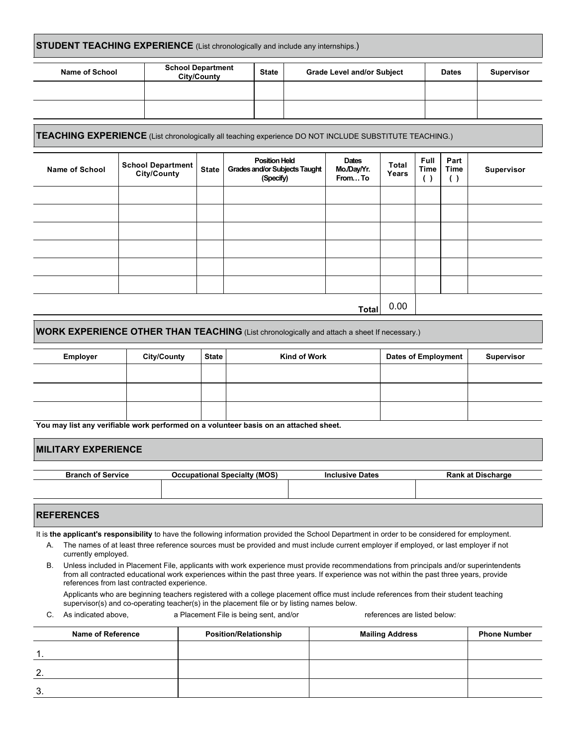#### **STUDENT TEACHING EXPERIENCE** (List chronologically and include any internships.)

| Name of School | <b>School Department</b><br><b>City/County</b> | <b>State</b> | <b>Grade Level and/or Subject</b> | <b>Dates</b> | <b>Supervisor</b> |
|----------------|------------------------------------------------|--------------|-----------------------------------|--------------|-------------------|
|                |                                                |              |                                   |              |                   |
|                |                                                |              |                                   |              |                   |

#### **TEACHING EXPERIENCE** (List chronologically all teaching experience DO NOT INCLUDE SUBSTITUTE TEACHING.)

| <b>Name of School</b> | <b>School Department</b><br>City/County | <b>State</b> | <b>Position Held</b><br>Grades and/or Subjects Taught<br>(Specify) | Dates<br>Mo./Day/Yr.<br>FromTo | Total<br>Years | <b>Full</b><br>Time<br>$(\blacklozenge)$ | Part<br>Time<br>$(\sqrt{2})$ | Supervisor |
|-----------------------|-----------------------------------------|--------------|--------------------------------------------------------------------|--------------------------------|----------------|------------------------------------------|------------------------------|------------|
|                       |                                         |              |                                                                    |                                |                |                                          |                              |            |
|                       |                                         |              |                                                                    |                                |                |                                          |                              |            |
|                       |                                         |              |                                                                    |                                |                |                                          |                              |            |
|                       |                                         |              |                                                                    |                                |                |                                          |                              |            |
|                       |                                         |              |                                                                    |                                |                |                                          |                              |            |
|                       |                                         |              |                                                                    |                                |                |                                          |                              |            |
| Total                 |                                         |              |                                                                    |                                | 0.00           |                                          |                              |            |

## **WORK EXPERIENCE OTHER THAN TEACHING** (List chronologically and attach a sheet If necessary.)

| Employer | <b>City/County</b> | <b>State</b> | Kind of Work | <b>Dates of Employment</b> | Supervisor |
|----------|--------------------|--------------|--------------|----------------------------|------------|
|          |                    |              |              |                            |            |
|          |                    |              |              |                            |            |
|          |                    |              |              |                            |            |

**You may list any verifiable work performed on a volunteer basis on an attached sheet.**

| <b>MILITARY EXPERIENCE</b> |                                     |                        |                          |
|----------------------------|-------------------------------------|------------------------|--------------------------|
| <b>Branch of Service</b>   | <b>Occupational Specialty (MOS)</b> | <b>Inclusive Dates</b> | <b>Rank at Discharge</b> |
|                            |                                     |                        |                          |
| <b>REFERENCES</b>          |                                     |                        |                          |

It is **the applicant's responsibility** to have the following information provided the School Department in order to be considered for employment.

- A. The names of at least three reference sources must be provided and must include current employer if employed, or last employer if not currently employed.
- B. Unless included in Placement File, applicants with work experience must provide recommendations from principals and/or superintendents from all contracted educational work experiences within the past three years. If experience was not within the past three years, provide references from last contracted experience.

Applicants who are beginning teachers registered with a college placement office must include references from their student teaching supervisor(s) and co-operating teacher(s) in the placement file or by listing names below.

C. As indicated above, a Placement File is being sent, and/or references are listed below:

| <b>Name of Reference</b> | <b>Position/Relationship</b> | <b>Mailing Address</b> | <b>Phone Number</b> |
|--------------------------|------------------------------|------------------------|---------------------|
| . .                      |                              |                        |                     |
| ົ                        |                              |                        |                     |
| ົ<br>. ن                 |                              |                        |                     |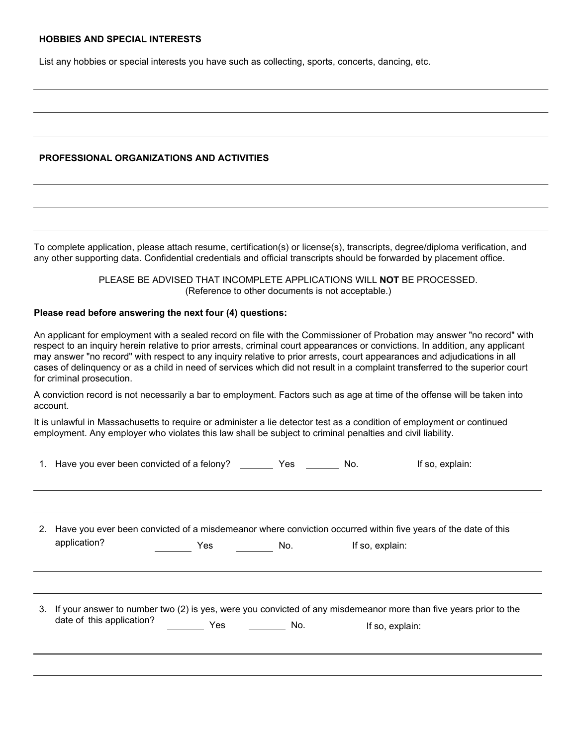#### **HOBBIES AND SPECIAL INTERESTS**

List any hobbies or special interests you have such as collecting, sports, concerts, dancing, etc.

### **PROFESSIONAL ORGANIZATIONS AND ACTIVITIES**

To complete application, please attach resume, certification(s) or license(s), transcripts, degree/diploma verification, and any other supporting data. Confidential credentials and official transcripts should be forwarded by placement office.

> PLEASE BE ADVISED THAT INCOMPLETE APPLICATIONS WILL **NOT** BE PROCESSED. (Reference to other documents is not acceptable.)

#### **Please read before answering the next four (4) questions:**

An applicant for employment with a sealed record on file with the Commissioner of Probation may answer "no record" with respect to an inquiry herein relative to prior arrests, criminal court appearances or convictions. In addition, any applicant may answer "no record" with respect to any inquiry relative to prior arrests, court appearances and adjudications in all cases of delinquency or as a child in need of services which did not result in a complaint transferred to the superior court for criminal prosecution.

A conviction record is not necessarily a bar to employment. Factors such as age at time of the offense will be taken into account.

It is unlawful in Massachusetts to require or administer a lie detector test as a condition of employment or continued employment. Any employer who violates this law shall be subject to criminal penalties and civil liability.

| 1. Have you ever been convicted of a felony? |     | Yes | No.             | If so, explain:                                                                                                     |
|----------------------------------------------|-----|-----|-----------------|---------------------------------------------------------------------------------------------------------------------|
|                                              |     |     |                 |                                                                                                                     |
|                                              |     |     |                 |                                                                                                                     |
|                                              |     |     |                 | 2. Have you ever been convicted of a misdemeanor where conviction occurred within five years of the date of this    |
| application?                                 | Yes | No. | If so, explain: |                                                                                                                     |
|                                              |     |     |                 |                                                                                                                     |
|                                              |     |     |                 |                                                                                                                     |
|                                              |     |     |                 | 3. If your answer to number two (2) is yes, were you convicted of any misdemeanor more than five years prior to the |
| date of this application?                    | Yes | No. |                 | If so, explain:                                                                                                     |
|                                              |     |     |                 |                                                                                                                     |
|                                              |     |     |                 |                                                                                                                     |